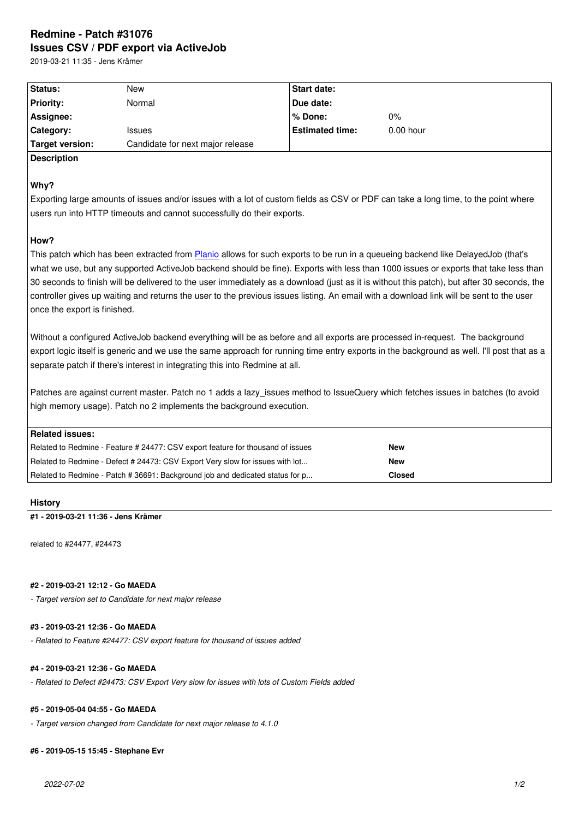#### **Issues CSV / PDF export via ActiveJob**

2019-03-21 11:35 - Jens Krämer

| Status:          | New                              | Start date:            |             |
|------------------|----------------------------------|------------------------|-------------|
| <b>Priority:</b> | Normal                           | Due date:              |             |
| Assignee:        |                                  | l% Done:               | $0\%$       |
| <b>Category:</b> | <b>Issues</b>                    | <b>Estimated time:</b> | $0.00$ hour |
| Target version:  | Candidate for next major release |                        |             |

# **Description**

### **Why?**

Exporting large amounts of issues and/or issues with a lot of custom fields as CSV or PDF can take a long time, to the point where users run into HTTP timeouts and cannot successfully do their exports.

### **How?**

This patch which has been extracted from Planio allows for such exports to be run in a queueing backend like DelayedJob (that's what we use, but any supported ActiveJob backend should be fine). Exports with less than 1000 issues or exports that take less than 30 seconds to finish will be delivered to the user immediately as a download (just as it is without this patch), but after 30 seconds, the controller gives up waiting and returns the [user to](https://plan.io/redmine-hosting) the previous issues listing. An email with a download link will be sent to the user once the export is finished.

Without a configured ActiveJob backend everything will be as before and all exports are processed in-request. The background export logic itself is generic and we use the same approach for running time entry exports in the background as well. I'll post that as a separate patch if there's interest in integrating this into Redmine at all.

Patches are against current master. Patch no 1 adds a lazy\_issues method to IssueQuery which fetches issues in batches (to avoid high memory usage). Patch no 2 implements the background execution.

| Related issues:                                                                 |               |
|---------------------------------------------------------------------------------|---------------|
| Related to Redmine - Feature # 24477: CSV export feature for thousand of issues | <b>New</b>    |
| Related to Redmine - Defect # 24473: CSV Export Very slow for issues with lot   | <b>New</b>    |
| Related to Redmine - Patch # 36691: Background job and dedicated status for p   | <b>Closed</b> |

#### **History**

#### **#1 - 2019-03-21 11:36 - Jens Krämer**

related to #24477, #24473

#### **#2 - 2019-03-21 12:12 - Go MAEDA**

*- Target version set to Candidate for next major release*

#### **#3 - 2019-03-21 12:36 - Go MAEDA**

*- Related to Feature #24477: CSV export feature for thousand of issues added*

## **#4 - 2019-03-21 12:36 - Go MAEDA**

*- Related to Defect #24473: CSV Export Very slow for issues with lots of Custom Fields added*

### **#5 - 2019-05-04 04:55 - Go MAEDA**

*- Target version changed from Candidate for next major release to 4.1.0*

#### **#6 - 2019-05-15 15:45 - Stephane Evr**